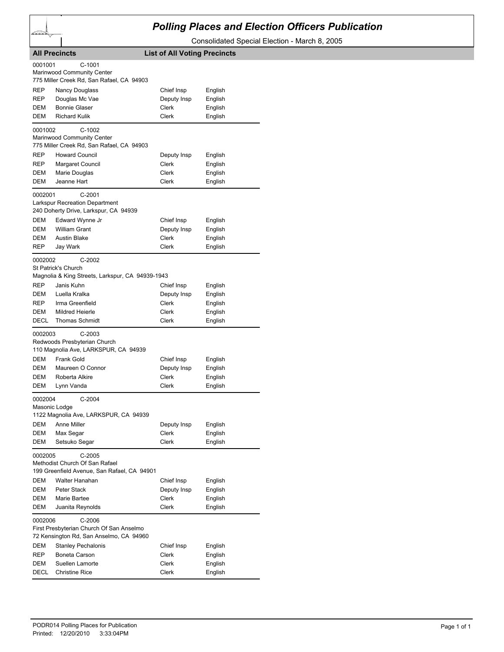## *Polling Places and Election Officers Publication*

Consolidated Special Election - March 8, 2005

| <b>All Precincts</b>                                                                                     |                                                                                            | <b>List of All Voting Precincts</b> |                    |  |
|----------------------------------------------------------------------------------------------------------|--------------------------------------------------------------------------------------------|-------------------------------------|--------------------|--|
| 0001001                                                                                                  | $C-1001$<br>Marinwood Community Center<br>775 Miller Creek Rd, San Rafael, CA 94903        |                                     |                    |  |
| REP                                                                                                      | Nancy Douglass                                                                             | Chief Insp                          | English            |  |
| REP                                                                                                      | Douglas Mc Vae                                                                             | Deputy Insp                         | English            |  |
| DEM                                                                                                      | <b>Bonnie Glaser</b>                                                                       | Clerk                               | English            |  |
| DEM                                                                                                      | <b>Richard Kulik</b>                                                                       | <b>Clerk</b>                        | English            |  |
| 0001002                                                                                                  | C-1002<br>Marinwood Community Center<br>775 Miller Creek Rd, San Rafael, CA 94903          |                                     |                    |  |
| REP                                                                                                      | <b>Howard Council</b>                                                                      | Deputy Insp                         | English            |  |
| REP                                                                                                      | Margaret Council                                                                           | Clerk                               | English            |  |
| DEM                                                                                                      | Marie Douglas                                                                              | Clerk                               | English            |  |
| DEM                                                                                                      | Jeanne Hart                                                                                | Clerk                               | English            |  |
| 0002001                                                                                                  | $C-2001$<br><b>Larkspur Recreation Department</b><br>240 Doherty Drive, Larkspur, CA 94939 |                                     |                    |  |
| DEM                                                                                                      | Edward Wynne Jr                                                                            | Chief Insp                          | English            |  |
| DEM                                                                                                      | <b>William Grant</b>                                                                       | Deputy Insp                         | English            |  |
| DEM                                                                                                      | <b>Austin Blake</b>                                                                        | Clerk                               | English            |  |
| REP                                                                                                      | Jay Wark                                                                                   | <b>Clerk</b>                        | English            |  |
| 0002002                                                                                                  | $C-2002$<br>St Patrick's Church<br>Magnolia & King Streets, Larkspur, CA 94939-1943        |                                     |                    |  |
| REP                                                                                                      | Janis Kuhn                                                                                 | Chief Insp                          | English            |  |
| DEM                                                                                                      | Luella Kralka                                                                              | Deputy Insp                         | English            |  |
| REP                                                                                                      | Irma Greenfield                                                                            | Clerk                               | English            |  |
| DEM                                                                                                      | <b>Mildred Heierle</b>                                                                     | Clerk                               | English            |  |
| DECL                                                                                                     | <b>Thomas Schmidt</b>                                                                      | Clerk                               | English            |  |
| $C-2003$<br>0002003<br>Redwoods Presbyterian Church<br>110 Magnolia Ave, LARKSPUR, CA 94939              |                                                                                            |                                     |                    |  |
| DEM                                                                                                      | Frank Gold                                                                                 | Chief Insp                          | English            |  |
| DEM                                                                                                      | Maureen O Connor                                                                           | Deputy Insp                         | English            |  |
| DEM                                                                                                      | Roberta Alkire                                                                             | Clerk                               | English            |  |
| DEM                                                                                                      | Lynn Vanda                                                                                 | Clerk                               | English            |  |
| $C-2004$<br>0002004<br>Masonic Lodge<br>1122 Magnolia Ave. LARKSPUR, CA 94939                            |                                                                                            |                                     |                    |  |
| DEM                                                                                                      | Anne Miller                                                                                | Deputy Insp                         | English            |  |
| DEM                                                                                                      | Max Segar                                                                                  | Clerk                               | English            |  |
| DEM                                                                                                      | Setsuko Segar                                                                              | Clerk                               | English            |  |
| 0002005<br>C-2005<br>Methodist Church Of San Rafael<br>199 Greenfield Avenue, San Rafael, CA 94901       |                                                                                            |                                     |                    |  |
| DEM                                                                                                      | Walter Hanahan                                                                             | Chief Insp                          | English            |  |
| DEM                                                                                                      | Peter Stack                                                                                | Deputy Insp                         | English            |  |
| DEM                                                                                                      | Marie Bartee                                                                               | Clerk                               | English            |  |
| DEM                                                                                                      | Juanita Reynolds                                                                           | Clerk                               | English            |  |
| 0002006<br>C-2006<br>First Presbyterian Church Of San Anselmo<br>72 Kensington Rd, San Anselmo, CA 94960 |                                                                                            |                                     |                    |  |
| DEM                                                                                                      | <b>Stanley Pechalonis</b>                                                                  | Chief Insp                          | English            |  |
| REP                                                                                                      | Boneta Carson                                                                              | Clerk                               | English            |  |
| DEM<br>DECL                                                                                              | Suellen Lamorte<br><b>Christine Rice</b>                                                   | Clerk<br>Clerk                      | English<br>English |  |
|                                                                                                          |                                                                                            |                                     |                    |  |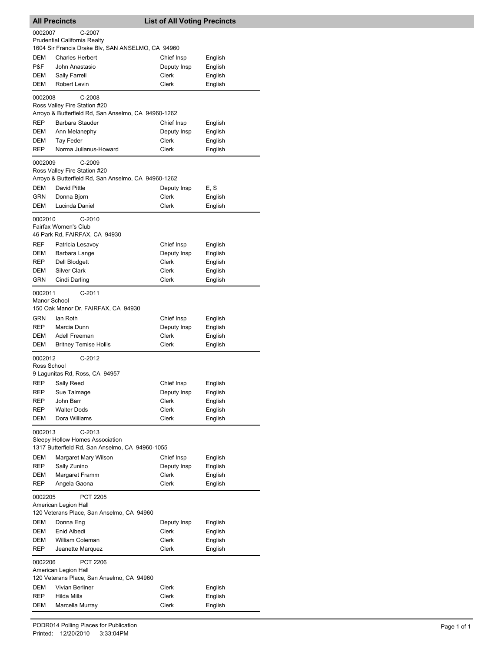| <b>All Precincts</b>                               |                                                                                     | <b>List of All Voting Precincts</b> |                    |  |
|----------------------------------------------------|-------------------------------------------------------------------------------------|-------------------------------------|--------------------|--|
| 0002007<br>C-2007                                  |                                                                                     |                                     |                    |  |
|                                                    | Prudential California Realty                                                        |                                     |                    |  |
| <b>DEM</b>                                         | 1604 Sir Francis Drake Blv, SAN ANSELMO, CA 94960<br><b>Charles Herbert</b>         | Chief Insp                          |                    |  |
| P&F                                                | John Anastasio                                                                      | Deputy Insp                         | English<br>English |  |
| DEM                                                | Sally Farrell                                                                       | Clerk                               | English            |  |
| DEM                                                | Robert Levin                                                                        | Clerk                               | English            |  |
| 0002008                                            | $C-2008$                                                                            |                                     |                    |  |
|                                                    | Ross Valley Fire Station #20                                                        |                                     |                    |  |
|                                                    | Arroyo & Butterfield Rd, San Anselmo, CA 94960-1262                                 |                                     |                    |  |
| <b>REP</b>                                         | Barbara Stauder                                                                     | Chief Insp                          | English            |  |
| DEM                                                | Ann Melanephy                                                                       | Deputy Insp                         | English            |  |
| DEM<br><b>REP</b>                                  | Tay Feder<br>Norma Julianus-Howard                                                  | Clerk<br>Clerk                      | English<br>English |  |
|                                                    |                                                                                     |                                     |                    |  |
| 0002009                                            | $C-2009$                                                                            |                                     |                    |  |
|                                                    | Ross Valley Fire Station #20<br>Arroyo & Butterfield Rd, San Anselmo, CA 94960-1262 |                                     |                    |  |
| DEM                                                | David Pittle                                                                        | Deputy Insp                         | E, S               |  |
| <b>GRN</b>                                         | Donna Bjorn                                                                         | Clerk                               | English            |  |
| DEM                                                | Lucinda Daniel                                                                      | Clerk                               | English            |  |
| 0002010                                            | $C-2010$                                                                            |                                     |                    |  |
|                                                    | Fairfax Women's Club                                                                |                                     |                    |  |
|                                                    | 46 Park Rd, FAIRFAX, CA 94930                                                       |                                     |                    |  |
| <b>REF</b>                                         | Patricia Lesavoy                                                                    | Chief Insp                          | English            |  |
| DEM                                                | Barbara Lange                                                                       | Deputy Insp                         | English            |  |
| REP                                                | Dell Blodgett                                                                       | Clerk                               | English            |  |
| DEM<br>GRN                                         | <b>Silver Clark</b>                                                                 | Clerk<br>Clerk                      | English            |  |
|                                                    | Cindi Darling                                                                       |                                     | English            |  |
| 0002011                                            | $C-2011$                                                                            |                                     |                    |  |
| Manor School                                       | 150 Oak Manor Dr, FAIRFAX, CA 94930                                                 |                                     |                    |  |
| GRN                                                | lan Roth                                                                            | Chief Insp                          | English            |  |
| <b>REP</b>                                         | Marcia Dunn                                                                         | Deputy Insp                         | English            |  |
| <b>DEM</b>                                         | Adell Freeman                                                                       | Clerk                               | English            |  |
| DEM                                                | <b>Britney Temise Hollis</b>                                                        | Clerk                               | English            |  |
| 0002012                                            | $C-2012$                                                                            |                                     |                    |  |
| Ross School                                        |                                                                                     |                                     |                    |  |
|                                                    | 9 Lagunitas Rd, Ross, CA 94957                                                      |                                     |                    |  |
|                                                    | REP Sally Reed                                                                      | Chief Insp                          | English            |  |
| REP                                                | Sue Talmage                                                                         | Deputy Insp                         | English            |  |
| REP<br>REP                                         | John Barr<br><b>Walter Dods</b>                                                     | Clerk<br>Clerk                      | English<br>English |  |
| DEM                                                | Dora Williams                                                                       | Clerk                               | English            |  |
|                                                    |                                                                                     |                                     |                    |  |
| 0002013                                            | $C-2013$<br>Sleepy Hollow Homes Association                                         |                                     |                    |  |
| 1317 Butterfield Rd, San Anselmo, CA 94960-1055    |                                                                                     |                                     |                    |  |
| DEM                                                | Margaret Mary Wilson                                                                | Chief Insp                          | English            |  |
| <b>REP</b>                                         | Sally Zunino                                                                        | Deputy Insp                         | English            |  |
| DEM                                                | Margaret Framm                                                                      | Clerk                               | English            |  |
| REP                                                | Angela Gaona                                                                        | Clerk                               | English            |  |
| 0002205<br><b>PCT 2205</b>                         |                                                                                     |                                     |                    |  |
|                                                    | American Legion Hall                                                                |                                     |                    |  |
|                                                    | 120 Veterans Place, San Anselmo, CA 94960                                           |                                     |                    |  |
| DEM                                                | Donna Eng                                                                           | Deputy Insp                         | English            |  |
| DEM<br>DEM                                         | Enid Albedi<br>William Coleman                                                      | Clerk<br>Clerk                      | English<br>English |  |
| REP                                                | Jeanette Marquez                                                                    | Clerk                               | English            |  |
|                                                    |                                                                                     |                                     |                    |  |
| 0002206<br><b>PCT 2206</b><br>American Legion Hall |                                                                                     |                                     |                    |  |
| 120 Veterans Place, San Anselmo, CA 94960          |                                                                                     |                                     |                    |  |
| DEM                                                | Vivian Berliner                                                                     | Clerk                               | English            |  |
| REP                                                | <b>Hilda Mills</b>                                                                  | Clerk                               | English            |  |
| DEM                                                | Marcella Murray                                                                     | Clerk                               | English            |  |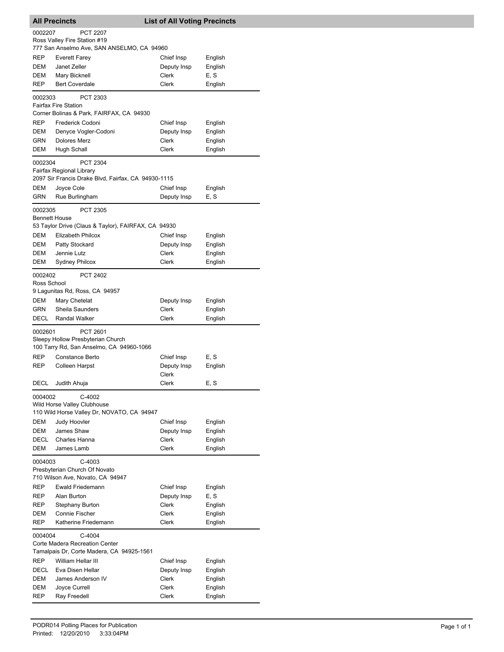| <b>All Precincts</b>                                                                               |                                                                                           | <b>List of All Voting Precincts</b> |                    |
|----------------------------------------------------------------------------------------------------|-------------------------------------------------------------------------------------------|-------------------------------------|--------------------|
| 0002207                                                                                            | <b>PCT 2207</b>                                                                           |                                     |                    |
|                                                                                                    | Ross Valley Fire Station #19<br>777 San Anselmo Ave, SAN ANSELMO, CA 94960                |                                     |                    |
| REP                                                                                                | Everett Farey                                                                             | Chief Insp                          | English            |
| <b>DEM</b>                                                                                         | Janet Zeller                                                                              | Deputy Insp                         | English            |
| DEM                                                                                                | Mary Bicknell                                                                             | Clerk                               | E, S               |
| REP                                                                                                | <b>Bert Coverdale</b>                                                                     | Clerk                               | English            |
| 0002303                                                                                            | PCT 2303<br><b>Fairfax Fire Station</b>                                                   |                                     |                    |
|                                                                                                    | Corner Bolinas & Park, FAIRFAX, CA 94930                                                  |                                     |                    |
| REP                                                                                                | Frederick Codoni                                                                          | Chief Insp                          | English            |
| DEM<br>GRN                                                                                         | Denyce Vogler-Codoni<br><b>Dolores Merz</b>                                               | Deputy Insp<br>Clerk                | English<br>English |
| DEM                                                                                                | Hugh Schall                                                                               | Clerk                               | English            |
| 0002304                                                                                            | PCT 2304<br>Fairfax Regional Library                                                      |                                     |                    |
|                                                                                                    | 2097 Sir Francis Drake Blvd, Fairfax, CA 94930-1115                                       |                                     |                    |
| DEM                                                                                                | Joyce Cole                                                                                | Chief Insp                          | English            |
| GRN                                                                                                | Rue Burlingham                                                                            | Deputy Insp                         | E, S               |
| 0002305                                                                                            | PCT 2305<br><b>Bennett House</b>                                                          |                                     |                    |
|                                                                                                    | 53 Taylor Drive (Claus & Taylor), FAIRFAX, CA 94930                                       |                                     |                    |
| DEM                                                                                                | Elizabeth Philcox                                                                         | Chief Insp                          | English            |
| DEM                                                                                                | Patty Stockard                                                                            | Deputy Insp                         | English            |
| DEM                                                                                                | Jennie Lutz                                                                               | Clerk                               | English            |
| DEM                                                                                                | <b>Sydney Philcox</b>                                                                     | Clerk                               | English            |
| 0002402<br>Ross School                                                                             | PCT 2402                                                                                  |                                     |                    |
|                                                                                                    | 9 Lagunitas Rd, Ross, CA 94957                                                            |                                     |                    |
| DEM                                                                                                | Mary Chetelat                                                                             | Deputy Insp                         | English            |
| GRN                                                                                                | Sheila Saunders                                                                           | Clerk                               | English            |
| DECL                                                                                               | <b>Randal Walker</b>                                                                      | Clerk                               | English            |
| 0002601                                                                                            | PCT 2601<br>Sleepy Hollow Presbyterian Church<br>100 Tarry Rd, San Anselmo, CA 94960-1066 |                                     |                    |
| REP                                                                                                | Constance Berto                                                                           | Chief Insp                          | E, S               |
| REP                                                                                                | Colleen Harpst                                                                            | Deputy Insp                         | English            |
|                                                                                                    |                                                                                           | Clerk                               |                    |
| DECL                                                                                               | Judith Ahuja                                                                              | Clerk                               | E, S               |
| 0004002                                                                                            | C-4002                                                                                    |                                     |                    |
|                                                                                                    | Wild Horse Valley Clubhouse<br>110 Wild Horse Valley Dr, NOVATO, CA 94947                 |                                     |                    |
| <b>DEM</b>                                                                                         | Judy Hoovler                                                                              | Chief Insp                          | English            |
| DEM                                                                                                | James Shaw                                                                                | Deputy Insp                         | English            |
| DECL                                                                                               | Charles Hanna                                                                             | <b>Clerk</b>                        | English            |
| DEM                                                                                                | James Lamb                                                                                | Clerk                               | English            |
| 0004003<br>$C-4003$                                                                                |                                                                                           |                                     |                    |
|                                                                                                    | Presbyterian Church Of Novato<br>710 Wilson Ave, Novato, CA 94947                         |                                     |                    |
| REP                                                                                                | Ewald Friedemann                                                                          | Chief Insp                          | English            |
| REP                                                                                                | Alan Burton                                                                               | Deputy Insp                         | E, S               |
| REP                                                                                                | Stephany Burton                                                                           | Clerk                               | English            |
| DEM                                                                                                | Connie Fischer                                                                            | Clerk                               | English            |
| REP                                                                                                | Katherine Friedemann                                                                      | Clerk                               | English            |
| 0004004<br>$C-4004$<br>Corte Madera Recreation Center<br>Tamalpais Dr, Corte Madera, CA 94925-1561 |                                                                                           |                                     |                    |
| REP                                                                                                | William Hellar III                                                                        | Chief Insp                          | English            |
| DECL                                                                                               | Eva Disen Hellar                                                                          | Deputy Insp                         | English            |
| DEM                                                                                                | James Anderson IV                                                                         | Clerk                               | English            |
| DEM                                                                                                | Joyce Currell                                                                             | Clerk                               | English            |
| REP                                                                                                | Ray Freedell                                                                              | Clerk                               | English            |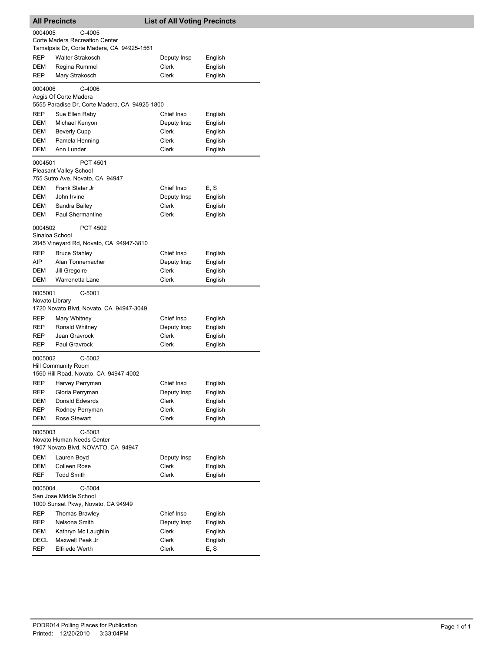| <b>All Precincts</b>                                                                     |                                                                                     | <b>List of All Voting Precincts</b> |         |  |
|------------------------------------------------------------------------------------------|-------------------------------------------------------------------------------------|-------------------------------------|---------|--|
| 0004005                                                                                  | C-4005                                                                              |                                     |         |  |
|                                                                                          | Corte Madera Recreation Center                                                      |                                     |         |  |
|                                                                                          | Tamalpais Dr, Corte Madera, CA 94925-1561                                           |                                     |         |  |
| REP                                                                                      | Walter Strakosch                                                                    | Deputy Insp                         | English |  |
| DEM                                                                                      | Regina Rummel                                                                       | Clerk                               | English |  |
| REP                                                                                      | Mary Strakosch                                                                      | Clerk                               | English |  |
| 0004006                                                                                  | C-4006<br>Aegis Of Corte Madera<br>5555 Paradise Dr, Corte Madera, CA 94925-1800    |                                     |         |  |
| REP                                                                                      | Sue Ellen Raby                                                                      | Chief Insp                          | English |  |
| DEM                                                                                      | Michael Kenyon                                                                      | Deputy Insp                         | English |  |
| DEM                                                                                      | <b>Beverly Cupp</b>                                                                 | Clerk                               | English |  |
| DEM                                                                                      | Pamela Henning                                                                      | Clerk                               | English |  |
| DEM                                                                                      | Ann Lunder                                                                          | Clerk                               | English |  |
| 0004501                                                                                  | <b>PCT 4501</b><br><b>Pleasant Valley School</b><br>755 Sutro Ave, Novato, CA 94947 |                                     |         |  |
| DEM                                                                                      | Frank Slater Jr                                                                     | Chief Insp                          | E, S    |  |
| <b>DEM</b>                                                                               | John Irvine                                                                         | Deputy Insp                         | English |  |
| DEM                                                                                      | Sandra Bailey                                                                       | Clerk                               | English |  |
| DEM                                                                                      | Paul Shermantine                                                                    | Clerk                               | English |  |
| 0004502<br>Sinaloa School<br>REP                                                         | <b>PCT 4502</b><br>2045 Vineyard Rd, Novato, CA 94947-3810<br><b>Bruce Stahley</b>  | Chief Insp                          | English |  |
| AIP                                                                                      | Alan Tonnemacher                                                                    | Deputy Insp                         | English |  |
| DEM                                                                                      | Jill Gregoire                                                                       | Clerk                               | English |  |
| DEM                                                                                      | Warrenetta Lane                                                                     | Clerk                               | English |  |
| 0005001<br>$C-5001$<br>Novato Library<br>1720 Novato Blvd, Novato, CA 94947-3049         |                                                                                     |                                     |         |  |
| REP                                                                                      | Mary Whitney                                                                        | Chief Insp                          | English |  |
| REP                                                                                      | Ronald Whitney                                                                      | Deputy Insp                         | English |  |
| REP                                                                                      | Jean Gravrock                                                                       | Clerk                               | English |  |
| REP                                                                                      | Paul Gravrock                                                                       | Clerk                               | English |  |
| C-5002<br>0005002<br><b>Hill Community Room</b><br>1560 Hill Road, Novato, CA 94947-4002 |                                                                                     |                                     |         |  |
| REP                                                                                      | Harvey Perryman                                                                     | Chief Insp                          | English |  |
| REP                                                                                      | Gloria Perryman                                                                     | Deputy Insp                         | English |  |
| DEM                                                                                      | Donald Edwards                                                                      | Clerk                               | English |  |
| REP                                                                                      | Rodney Perryman                                                                     | Clerk                               | English |  |
| DEM                                                                                      | Rose Stewart                                                                        | Clerk                               | English |  |
| 0005003<br>C-5003<br>Novato Human Needs Center<br>1907 Novato Blvd, NOVATO, CA 94947     |                                                                                     |                                     |         |  |
| DEM                                                                                      | Lauren Boyd                                                                         | Deputy Insp                         | English |  |
| DEM                                                                                      | <b>Colleen Rose</b>                                                                 | Clerk                               | English |  |
| REF                                                                                      | <b>Todd Smith</b>                                                                   | Clerk                               | English |  |
| $C-5004$<br>0005004<br>San Jose Middle School<br>1000 Sunset Pkwy, Novato, CA 94949      |                                                                                     |                                     |         |  |
| REP                                                                                      | <b>Thomas Brawley</b>                                                               | Chief Insp                          | English |  |
| REP                                                                                      | Nelsona Smith                                                                       | Deputy Insp                         | English |  |
| DEM                                                                                      | Kathryn Mc Laughlin                                                                 | Clerk                               | English |  |
| DECL                                                                                     | Maxwell Peak Jr                                                                     | Clerk                               | English |  |
| REP                                                                                      | <b>Elfriede Werth</b>                                                               | Clerk                               | E, S    |  |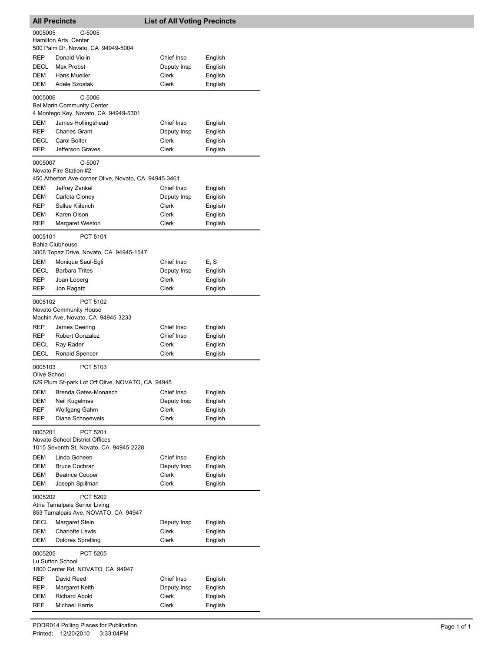| <b>All Precincts</b>                                                                            |                                                                    | <b>List of All Voting Precincts</b> |                    |  |
|-------------------------------------------------------------------------------------------------|--------------------------------------------------------------------|-------------------------------------|--------------------|--|
| 0005005                                                                                         | $C-5005$                                                           |                                     |                    |  |
| Hamilton Arts Center<br>500 Palm Dr, Novato, CA 94949-5004                                      |                                                                    |                                     |                    |  |
| REP                                                                                             | Donald Violin                                                      | Chief Insp                          | English            |  |
| DECL                                                                                            | Max Probst                                                         | Deputy Insp                         | English            |  |
| <b>DEM</b>                                                                                      | <b>Hans Mueller</b>                                                | Clerk                               | English            |  |
| <b>DEM</b>                                                                                      | Adele Szostak                                                      | Clerk                               | English            |  |
| 0005006                                                                                         | C-5006<br><b>Bel Marin Community Center</b>                        |                                     |                    |  |
|                                                                                                 | 4 Montego Key, Novato, CA 94949-5301                               |                                     |                    |  |
| DEM                                                                                             | James Hollingshead                                                 | Chief Insp                          | English            |  |
| REP                                                                                             | <b>Charles Grant</b>                                               | Deputy Insp                         | English            |  |
| DECL                                                                                            | Carol Bolter                                                       | Clerk                               | English            |  |
| <b>REP</b>                                                                                      | Jefferson Graves                                                   | Clerk                               | English            |  |
| 0005007                                                                                         | C-5007                                                             |                                     |                    |  |
|                                                                                                 | Novato Fire Station #2                                             |                                     |                    |  |
|                                                                                                 | 450 Atherton Ave-corner Olive, Novato, CA 94945-3461               |                                     |                    |  |
| DEM                                                                                             | Jeffrey Zankel                                                     | Chief Insp                          | English            |  |
| DEM                                                                                             | Carlota Cloney                                                     | Deputy Insp                         | English            |  |
| REP                                                                                             | Sallee Kiilerich                                                   | Clerk                               | English            |  |
| <b>DEM</b>                                                                                      | Karen Olson                                                        | Clerk                               | English            |  |
| <b>REP</b>                                                                                      | Margaret Weston                                                    | Clerk                               | English            |  |
| 0005101                                                                                         | PCT 5101<br><b>Bahia Clubhouse</b>                                 |                                     |                    |  |
|                                                                                                 | 3008 Topaz Drive, Novato, CA 94945-1547                            |                                     |                    |  |
| DEM                                                                                             | Monique Saul-Egli                                                  | Chief Insp                          | E, S               |  |
| DECL                                                                                            | <b>Barbara Trites</b>                                              | Deputy Insp<br>Clerk                | English            |  |
| REP<br>REP                                                                                      | Joan Loberg<br>Jon Ragatz                                          | Clerk                               | English<br>English |  |
| 0005102                                                                                         | PCT 5102                                                           |                                     |                    |  |
|                                                                                                 | <b>Novato Community House</b><br>Machin Ave, Novato, CA 94945-3233 |                                     |                    |  |
| REP                                                                                             | James Deering                                                      | Chief Insp                          | English            |  |
| <b>REP</b>                                                                                      | <b>Robert Gonzalez</b>                                             | Chief Insp                          | English            |  |
| DECL                                                                                            | Ray Rader                                                          | Clerk                               | English            |  |
| DECL                                                                                            | Ronald Spencer                                                     | Clerk                               | English            |  |
| 0005103                                                                                         | PCT 5103                                                           |                                     |                    |  |
| Olive School                                                                                    |                                                                    |                                     |                    |  |
|                                                                                                 | 629 Plum St-park Lot Off Olive, NOVATO, CA 94945                   |                                     |                    |  |
| DEM                                                                                             | Brenda Gates-Monasch                                               | Chief Insp                          | English            |  |
| DEM                                                                                             | Neil Kugelmas                                                      | Deputy Insp                         | English            |  |
| REF                                                                                             | Wolfgang Gahm                                                      | Clerk                               | English            |  |
| REP                                                                                             | Diane Schneeweis                                                   | Clerk                               | English            |  |
| 0005201<br>PCT 5201<br>Novato School District Offices<br>1015 Seventh St, Novato, CA 94945-2228 |                                                                    |                                     |                    |  |
|                                                                                                 | Linda Goheen                                                       |                                     |                    |  |
| DEM<br>DEM                                                                                      | <b>Bruce Cochran</b>                                               | Chief Insp                          | English            |  |
| DEM                                                                                             | <b>Beatrice Cooper</b>                                             | Deputy Insp<br>Clerk                | English<br>English |  |
| DEM                                                                                             | Joseph Spillman                                                    | Clerk                               | English            |  |
| 0005202                                                                                         | <b>PCT 5202</b>                                                    |                                     |                    |  |
| Atria Tamalpais Senior Living<br>853 Tamalpais Ave, NOVATO, CA 94947                            |                                                                    |                                     |                    |  |
| <b>DECL</b>                                                                                     | Margaret Stein                                                     | Deputy Insp                         | English            |  |
| DEM                                                                                             | <b>Charlotte Lewis</b>                                             | Clerk                               | English            |  |
| DEM                                                                                             | <b>Dolores Spratling</b>                                           | Clerk                               | English            |  |
| 0005205<br><b>PCT 5205</b>                                                                      |                                                                    |                                     |                    |  |
| Lu Sutton School<br>1800 Center Rd, NOVATO, CA 94947                                            |                                                                    |                                     |                    |  |
| REP                                                                                             | David Reed                                                         | Chief Insp                          | English            |  |
| REP                                                                                             | Margaret Keith                                                     | Deputy Insp                         | English            |  |
| <b>DEM</b>                                                                                      | <b>Richard Abold</b>                                               | Clerk                               | English            |  |
| REF                                                                                             | <b>Michael Harris</b>                                              | Clerk                               | English            |  |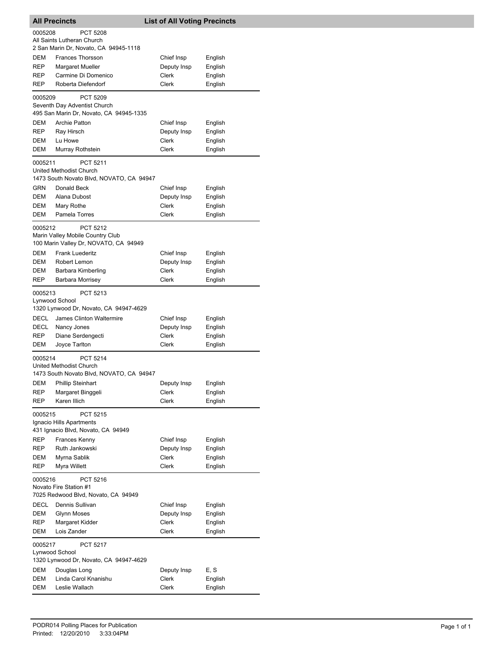| <b>All Precincts</b>                                                            |                                                                                                                    | <b>List of All Voting Precincts</b> |                               |  |
|---------------------------------------------------------------------------------|--------------------------------------------------------------------------------------------------------------------|-------------------------------------|-------------------------------|--|
| PCT 5208<br>0005208<br>All Saints Lutheran Church                               |                                                                                                                    |                                     |                               |  |
|                                                                                 | 2 San Marin Dr, Novato, CA 94945-1118                                                                              |                                     |                               |  |
| DEM                                                                             | <b>Frances Thorsson</b>                                                                                            | Chief Insp                          | English                       |  |
| REP                                                                             | <b>Margaret Mueller</b>                                                                                            | Deputy Insp                         | English                       |  |
| REP                                                                             | Carmine Di Domenico                                                                                                | Clerk                               | English                       |  |
| REP                                                                             | Roberta Diefendorf                                                                                                 | Clerk                               | English                       |  |
| 0005209                                                                         | PCT 5209<br>Seventh Day Adventist Church<br>495 San Marin Dr, Novato, CA 94945-1335                                |                                     |                               |  |
| DEM                                                                             | <b>Archie Patton</b>                                                                                               | Chief Insp                          | English                       |  |
| <b>REP</b>                                                                      | Ray Hirsch                                                                                                         | Deputy Insp                         | English                       |  |
| DEM                                                                             | Lu Howe                                                                                                            | Clerk                               | English                       |  |
| DEM                                                                             | Murray Rothstein                                                                                                   | Clerk                               | English                       |  |
| 0005211<br><b>GRN</b>                                                           | PCT 5211<br>United Methodist Church<br>1473 South Novato Blvd, NOVATO, CA 94947<br>Donald Beck                     | Chief Insp                          | English                       |  |
| DEM                                                                             | Alana Dubost                                                                                                       | Deputy Insp                         | English                       |  |
| DEM                                                                             | Mary Rothe                                                                                                         | Clerk                               | English                       |  |
| DEM                                                                             | Pamela Torres                                                                                                      | Clerk                               | English                       |  |
| 0005212                                                                         | PCT 5212<br>Marin Valley Mobile Country Club<br>100 Marin Valley Dr, NOVATO, CA 94949                              |                                     |                               |  |
| DEM                                                                             | <b>Frank Luederitz</b>                                                                                             | Chief Insp                          | English                       |  |
| <b>DEM</b>                                                                      | Robert Lemon                                                                                                       | Deputy Insp                         | English                       |  |
| DEM                                                                             | Barbara Kimberling                                                                                                 | Clerk                               | English                       |  |
| REP                                                                             | Barbara Morrisey                                                                                                   | Clerk                               | English                       |  |
| 0005213<br>Lynwood School<br>DECL<br>DECL<br>REP                                | PCT 5213<br>1320 Lynwood Dr, Novato, CA 94947-4629<br>James Clinton Waltermire<br>Nancy Jones<br>Diane Serdengecti | Chief Insp<br>Deputy Insp<br>Clerk  | English<br>English<br>English |  |
| DEM                                                                             | Joyce Tarlton                                                                                                      | Clerk                               | English                       |  |
| 0005214                                                                         | PCT 5214<br>United Methodist Church<br>1473 South Novato Blvd, NOVATO, CA 94947                                    |                                     |                               |  |
| DEM                                                                             | <b>Phillip Steinhart</b>                                                                                           | Deputy Insp                         | English                       |  |
| REP                                                                             | Margaret Binggeli                                                                                                  | Clerk                               | English                       |  |
| REP                                                                             | Karen Illich                                                                                                       | Clerk                               | English                       |  |
| 0005215<br>REP                                                                  | PCT 5215<br>Ignacio Hills Apartments<br>431 Ignacio Blvd, Novato, CA 94949<br>Frances Kenny                        | Chief Insp                          | English                       |  |
| <b>REP</b>                                                                      | Ruth Jankowski                                                                                                     | Deputy Insp                         | English                       |  |
| DEM                                                                             | Myrna Sablik                                                                                                       | <b>Clerk</b>                        | English                       |  |
| REP                                                                             | Myra Willett                                                                                                       | Clerk                               | English                       |  |
| 0005216                                                                         | PCT 5216<br>Novato Fire Station #1<br>7025 Redwood Blvd, Novato, CA 94949                                          |                                     |                               |  |
| DECL                                                                            | Dennis Sullivan                                                                                                    | Chief Insp                          | English                       |  |
| DEM                                                                             | <b>Glynn Moses</b>                                                                                                 | Deputy Insp                         | English                       |  |
| REP                                                                             | Margaret Kidder                                                                                                    | Clerk                               | English                       |  |
| DEM                                                                             | Lois Zander                                                                                                        | Clerk                               | English                       |  |
| 0005217<br>PCT 5217<br>Lynwood School<br>1320 Lynwood Dr, Novato, CA 94947-4629 |                                                                                                                    |                                     |                               |  |
| DEM<br>DEM                                                                      | Douglas Long<br>Linda Carol Knanishu                                                                               | Deputy Insp<br>Clerk                | E, S                          |  |
| DEM                                                                             | Leslie Wallach                                                                                                     | Clerk                               | English<br>English            |  |
|                                                                                 |                                                                                                                    |                                     |                               |  |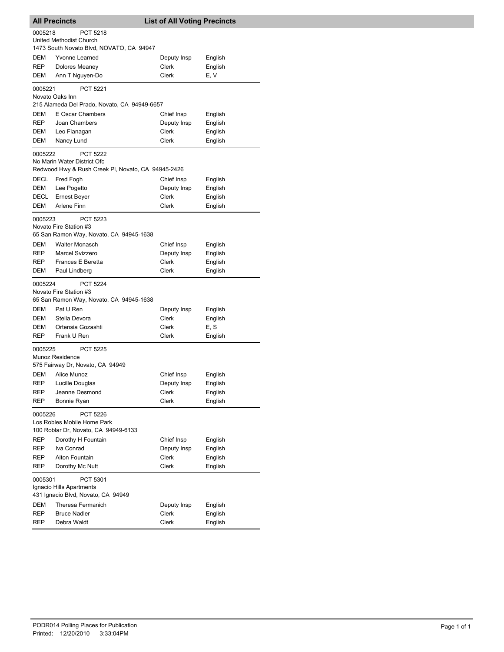| <b>All Precincts</b>               |                                                    | <b>List of All Voting Precincts</b> |         |
|------------------------------------|----------------------------------------------------|-------------------------------------|---------|
| 0005218                            | <b>PCT 5218</b>                                    |                                     |         |
|                                    | United Methodist Church                            |                                     |         |
|                                    | 1473 South Novato Blvd, NOVATO, CA 94947           |                                     |         |
| DEM                                | Yvonne Learned                                     | Deputy Insp                         | English |
| REP                                | Dolores Meaney                                     | Clerk                               | English |
| DEM                                | Ann T Nguyen-Do                                    | Clerk                               | E, V    |
| 0005221                            | <b>PCT 5221</b>                                    |                                     |         |
|                                    | Novato Oaks Inn                                    |                                     |         |
|                                    | 215 Alameda Del Prado, Novato, CA 94949-6657       |                                     |         |
| DEM                                | E Oscar Chambers                                   | Chief Insp                          | English |
| <b>REP</b>                         | Joan Chambers                                      | Deputy Insp                         | English |
| DEM                                | Leo Flanagan                                       | Clerk                               | English |
| DEM                                | Nancy Lund                                         | Clerk                               | English |
| 0005222                            | <b>PCT 5222</b>                                    |                                     |         |
|                                    | No Marin Water District Ofc                        |                                     |         |
|                                    | Redwood Hwy & Rush Creek PI, Novato, CA 94945-2426 |                                     |         |
| DECL                               | Fred Fogh                                          | Chief Insp                          | English |
| DEM                                | Lee Pogetto                                        | Deputy Insp                         | English |
| DECL                               | <b>Ernest Bever</b>                                | Clerk                               | English |
| DEM                                | Arlene Finn                                        | Clerk                               | English |
| 0005223                            | <b>PCT 5223</b>                                    |                                     |         |
|                                    | Novato Fire Station #3                             |                                     |         |
|                                    | 65 San Ramon Way, Novato, CA 94945-1638            |                                     |         |
| DEM                                | <b>Walter Monasch</b>                              | Chief Insp                          | English |
| REP                                | Marcel Svizzero                                    | Deputy Insp                         | English |
| REP                                | Frances E Beretta                                  | Clerk                               | English |
| DEM                                | Paul Lindberg                                      | Clerk                               | English |
| 0005224                            | <b>PCT 5224</b>                                    |                                     |         |
|                                    | Novato Fire Station #3                             |                                     |         |
|                                    | 65 San Ramon Way, Novato, CA 94945-1638            |                                     |         |
| DEM                                | Pat U Ren                                          | Deputy Insp                         | English |
| DEM                                | Stella Devora                                      | Clerk                               | English |
| DEM                                | Ortensia Gozashti                                  | Clerk                               | E, S    |
| <b>REP</b>                         | Frank U Ren                                        | Clerk                               | English |
| 0005225                            | <b>PCT 5225</b>                                    |                                     |         |
|                                    | Munoz Residence                                    |                                     |         |
|                                    | 575 Fairway Dr, Novato, CA 94949                   |                                     |         |
| DEM                                | Alice Munoz                                        | Chief Insp                          | English |
| REP                                | Lucille Douglas                                    | Deputy Insp                         | English |
| <b>REP</b>                         | Jeanne Desmond                                     | Clerk                               | English |
| REP                                | Bonnie Ryan                                        | Clerk                               | English |
| 0005226                            | PCT 5226                                           |                                     |         |
|                                    | Los Robles Mobile Home Park                        |                                     |         |
|                                    | 100 Roblar Dr, Novato, CA 94949-6133               |                                     |         |
| REP                                | Dorothy H Fountain                                 | Chief Insp                          | English |
| REP                                | Iva Conrad                                         | Deputy Insp                         | English |
| REP                                | <b>Alton Fountain</b>                              | Clerk                               | English |
| REP                                | Dorothy Mc Nutt                                    | <b>Clerk</b>                        | English |
| PCT 5301<br>0005301                |                                                    |                                     |         |
| Ignacio Hills Apartments           |                                                    |                                     |         |
| 431 Ignacio Blvd, Novato, CA 94949 |                                                    |                                     |         |
| DEM                                | Theresa Fermanich                                  | Deputy Insp                         | English |
| REP                                | <b>Bruce Nadler</b>                                | Clerk                               | English |
| REP                                | Debra Waldt                                        | Clerk                               | English |